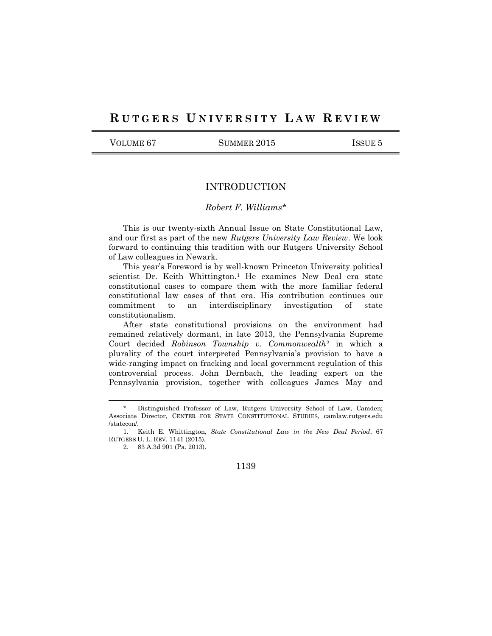## RUTGERS UNIVERSITY LAW REVIEW

VOLUME 67 SUMMER 2015 ISSUE 5

## INTRODUCTION

## *Robert F. Williams*\*

This is our twenty-sixth Annual Issue on State Constitutional Law, and our first as part of the new *Rutgers University Law Review*. We look forward to continuing this tradition with our Rutgers University School of Law colleagues in Newark.

This year's Foreword is by well-known Princeton University political scientist Dr. Keith Whittington.<sup>1</sup> He examines New Deal era state constitutional cases to compare them with the more familiar federal constitutional law cases of that era. His contribution continues our commitment to an interdisciplinary investigation of state constitutionalism.

After state constitutional provisions on the environment had remained relatively dormant, in late 2013, the Pennsylvania Supreme Court decided *Robinson Township v. Commonwealth*<sup>2</sup> in which a plurality of the court interpreted Pennsylvania's provision to have a wide-ranging impact on fracking and local government regulation of this controversial process. John Dernbach, the leading expert on the Pennsylvania provision, together with colleagues James May and

 $\overline{a}$ 

Distinguished Professor of Law, Rutgers University School of Law, Camden; Associate Director, CENTER FOR STATE CONSTITUTIONAL STUDIES, camlaw.rutgers.edu /statecon/.

<sup>1.</sup> Keith E. Whittington, *State Constitutional Law in the New Deal Period*, 67 RUTGERS U. L. REV. 1141 (2015).

<sup>2.</sup> 83 A.3d 901 (Pa. 2013).